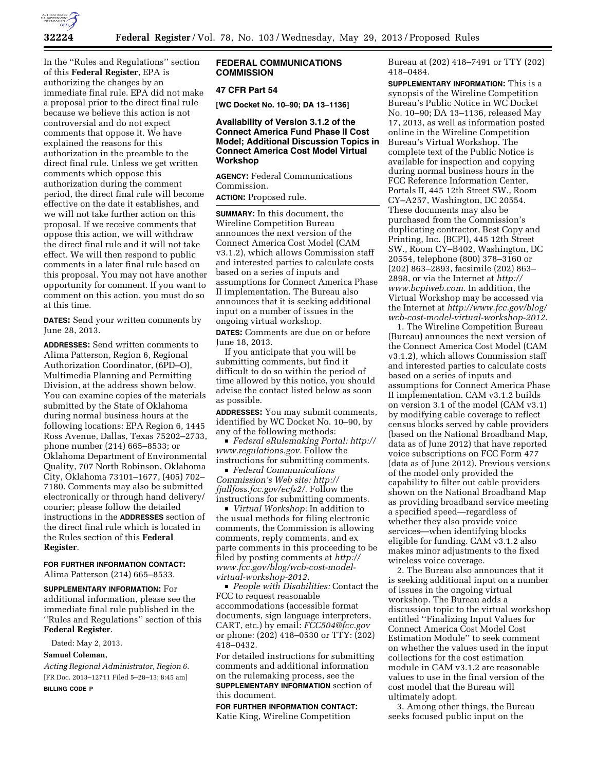

In the ''Rules and Regulations'' section of this **Federal Register**, EPA is authorizing the changes by an immediate final rule. EPA did not make a proposal prior to the direct final rule because we believe this action is not controversial and do not expect comments that oppose it. We have explained the reasons for this authorization in the preamble to the direct final rule. Unless we get written comments which oppose this authorization during the comment period, the direct final rule will become effective on the date it establishes, and we will not take further action on this proposal. If we receive comments that oppose this action, we will withdraw the direct final rule and it will not take effect. We will then respond to public comments in a later final rule based on this proposal. You may not have another opportunity for comment. If you want to comment on this action, you must do so at this time.

**DATES:** Send your written comments by June 28, 2013.

**ADDRESSES:** Send written comments to Alima Patterson, Region 6, Regional Authorization Coordinator, (6PD–O), Multimedia Planning and Permitting Division, at the address shown below. You can examine copies of the materials submitted by the State of Oklahoma during normal business hours at the following locations: EPA Region 6, 1445 Ross Avenue, Dallas, Texas 75202–2733, phone number (214) 665–8533; or Oklahoma Department of Environmental Quality, 707 North Robinson, Oklahoma City, Oklahoma 73101–1677, (405) 702– 7180. Comments may also be submitted electronically or through hand delivery/ courier; please follow the detailed instructions in the **ADDRESSES** section of the direct final rule which is located in the Rules section of this **Federal Register**.

**FOR FURTHER INFORMATION CONTACT:**  Alima Patterson (214) 665–8533.

**SUPPLEMENTARY INFORMATION:** For additional information, please see the immediate final rule published in the ''Rules and Regulations'' section of this **Federal Register**.

Dated: May 2, 2013.

#### **Samuel Coleman,**

*Acting Regional Administrator, Region 6.*  [FR Doc. 2013–12711 Filed 5–28–13; 8:45 am]

**BILLING CODE P** 

### **FEDERAL COMMUNICATIONS COMMISSION**

### **47 CFR Part 54**

**[WC Docket No. 10–90; DA 13–1136]** 

# **Availability of Version 3.1.2 of the Connect America Fund Phase II Cost Model; Additional Discussion Topics in Connect America Cost Model Virtual Workshop**

**AGENCY:** Federal Communications Commission.

**ACTION:** Proposed rule.

**SUMMARY:** In this document, the Wireline Competition Bureau announces the next version of the Connect America Cost Model (CAM v3.1.2), which allows Commission staff and interested parties to calculate costs based on a series of inputs and assumptions for Connect America Phase II implementation. The Bureau also announces that it is seeking additional input on a number of issues in the ongoing virtual workshop.

**DATES:** Comments are due on or before June 18, 2013.

If you anticipate that you will be submitting comments, but find it difficult to do so within the period of time allowed by this notice, you should advise the contact listed below as soon as possible.

**ADDRESSES:** You may submit comments, identified by WC Docket No. 10–90, by any of the following methods:

D *Federal eRulemaking Portal: [http://](http://www.regulations.gov) [www.regulations.gov.](http://www.regulations.gov)* Follow the instructions for submitting comments.

D *Federal Communications Commission's Web site: [http://](http://fjallfoss.fcc.gov/ecfs2/) [fjallfoss.fcc.gov/ecfs2/.](http://fjallfoss.fcc.gov/ecfs2/)* Follow the instructions for submitting comments.

D *Virtual Workshop:* In addition to the usual methods for filing electronic comments, the Commission is allowing comments, reply comments, and ex parte comments in this proceeding to be filed by posting comments at *[http://](http://www.fcc.gov/blog/wcb-cost-model-virtual-workshop-2012) [www.fcc.gov/blog/wcb-cost-model](http://www.fcc.gov/blog/wcb-cost-model-virtual-workshop-2012)[virtual-workshop-2012.](http://www.fcc.gov/blog/wcb-cost-model-virtual-workshop-2012)* 

**People with Disabilities: Contact the** FCC to request reasonable accommodations (accessible format documents, sign language interpreters, CART, etc.) by email: *[FCC504@fcc.gov](mailto:FCC504@fcc.gov)*  or phone: (202) 418–0530 or TTY: (202) 418–0432.

For detailed instructions for submitting comments and additional information on the rulemaking process, see the **SUPPLEMENTARY INFORMATION** section of this document.

**FOR FURTHER INFORMATION CONTACT:**  Katie King, Wireline Competition

Bureau at (202) 418–7491 or TTY (202) 418–0484.

**SUPPLEMENTARY INFORMATION:** This is a synopsis of the Wireline Competition Bureau's Public Notice in WC Docket No. 10–90; DA 13–1136, released May 17, 2013, as well as information posted online in the Wireline Competition Bureau's Virtual Workshop. The complete text of the Public Notice is available for inspection and copying during normal business hours in the FCC Reference Information Center, Portals II, 445 12th Street SW., Room CY–A257, Washington, DC 20554. These documents may also be purchased from the Commission's duplicating contractor, Best Copy and Printing, Inc. (BCPI), 445 12th Street SW., Room CY–B402, Washington, DC 20554, telephone (800) 378–3160 or (202) 863–2893, facsimile (202) 863– 2898, or via the Internet at *[http://](http://www.bcpiweb.com)  [www.bcpiweb.com.](http://www.bcpiweb.com)* In addition, the Virtual Workshop may be accessed via the Internet at *[http://www.fcc.gov/blog/](http://www.fcc.gov/blog/wcb-cost-model-virtual-workshop-2012)  [wcb-cost-model-virtual-workshop-2012.](http://www.fcc.gov/blog/wcb-cost-model-virtual-workshop-2012)* 

1. The Wireline Competition Bureau (Bureau) announces the next version of the Connect America Cost Model (CAM v3.1.2), which allows Commission staff and interested parties to calculate costs based on a series of inputs and assumptions for Connect America Phase II implementation. CAM v3.1.2 builds on version 3.1 of the model (CAM v3.1) by modifying cable coverage to reflect census blocks served by cable providers (based on the National Broadband Map, data as of June 2012) that have reported voice subscriptions on FCC Form 477 (data as of June 2012). Previous versions of the model only provided the capability to filter out cable providers shown on the National Broadband Map as providing broadband service meeting a specified speed—regardless of whether they also provide voice services—when identifying blocks eligible for funding. CAM v3.1.2 also makes minor adjustments to the fixed wireless voice coverage.

2. The Bureau also announces that it is seeking additional input on a number of issues in the ongoing virtual workshop. The Bureau adds a discussion topic to the virtual workshop entitled ''Finalizing Input Values for Connect America Cost Model Cost Estimation Module'' to seek comment on whether the values used in the input collections for the cost estimation module in CAM v3.1.2 are reasonable values to use in the final version of the cost model that the Bureau will ultimately adopt.

3. Among other things, the Bureau seeks focused public input on the